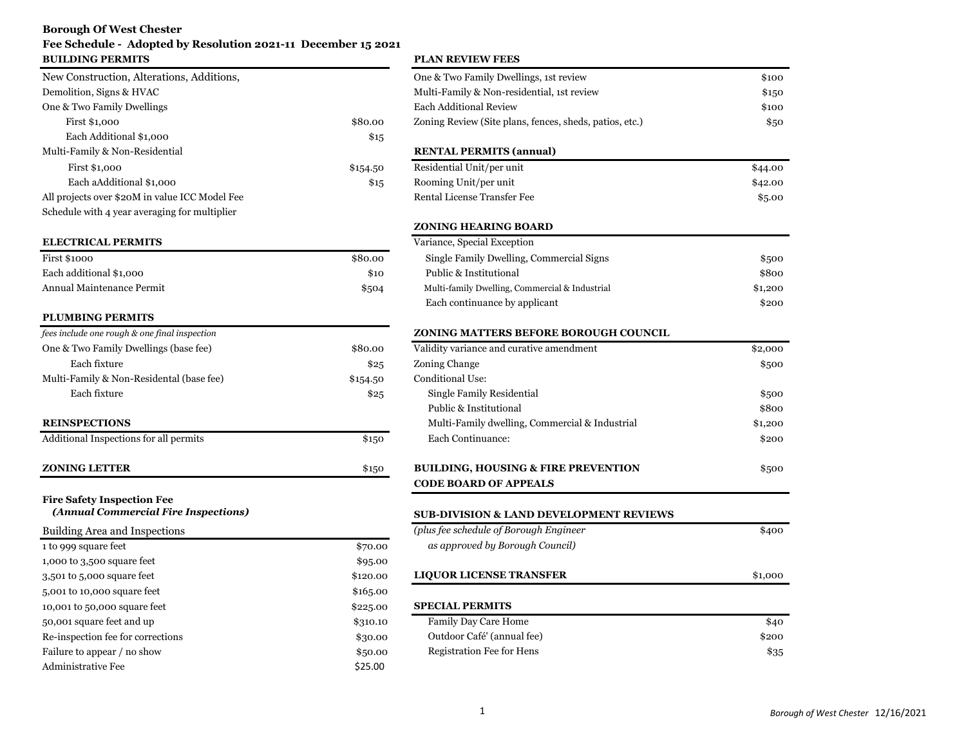# **Borough Of West Chester**

# **Fee Schedule - Adopted by Resolution 2021-11 December 15 2021 BUILDING PERMITS PLAN REVIEW FEES**

|          | One & Two Family Dwellings, 1st   |
|----------|-----------------------------------|
|          | Multi-Family & Non-residential,   |
|          | <b>Each Additional Review</b>     |
| \$80.00  | Zoning Review (Site plans, fences |
| \$15     |                                   |
|          | <b>RENTAL PERMITS (annual)</b>    |
| \$154.50 | Residential Unit/per unit         |
| \$15     | Rooming Unit/per unit             |
|          | Rental License Transfer Fee       |
|          |                                   |
|          |                                   |

### **ELECTRICAL PERMITS**

| <b>First \$1000</b>       | \$80.0 |
|---------------------------|--------|
| Each additional \$1,000   | \$10   |
| Annual Maintenance Permit | \$50   |

# **PLUMBING PERMITS**

| fees include one rough & one final inspection |          | <b>ZONING MATTERS BEFORE BOROUGH COUNCIL</b>   |
|-----------------------------------------------|----------|------------------------------------------------|
| One & Two Family Dwellings (base fee)         | \$80.00  | Validity variance and curative amendment       |
| Each fixture                                  | \$25     | Zoning Change                                  |
| Multi-Family & Non-Residental (base fee)      | \$154.50 | Conditional Use:                               |
| Each fixture                                  | \$25     | Single Family Residential                      |
|                                               |          | Public & Institutional                         |
| <b>REINSPECTIONS</b>                          |          | Multi-Family dwelling, Commercial & Industrial |
| Additional Inspections for all permits        | \$150    | Each Continuance:                              |

### **ZONING LETTER**  $$150$

| Building Area and Inspections     |          | (plus fee schedule of Borough Engineer) | \$400   |
|-----------------------------------|----------|-----------------------------------------|---------|
| 1 to 999 square feet              | \$70.00  | as approved by Borough Council)         |         |
| 1,000 to 3,500 square feet        | \$95.00  |                                         |         |
| 3,501 to 5,000 square feet        | \$120.00 | <b>LIQUOR LICENSE TRANSFER</b>          | \$1,000 |
| 5,001 to 10,000 square feet       | \$165.00 |                                         |         |
| 10,001 to 50,000 square feet      | \$225.00 | <b>SPECIAL PERMITS</b>                  |         |
| 50,001 square feet and up         | \$310.10 | <b>Family Day Care Home</b>             | \$40    |
| Re-inspection fee for corrections | \$30.00  | Outdoor Café' (annual fee)              | \$200   |
| Failure to appear / no show       | \$50.00  | Registration Fee for Hens               | \$35    |
| <b>Administrative Fee</b>         | \$25.00  |                                         |         |

| DUILDING FEAMILIS                              |          | FLAN REVIEW FEES                                        |         |
|------------------------------------------------|----------|---------------------------------------------------------|---------|
| New Construction, Alterations, Additions,      |          | One & Two Family Dwellings, 1st review                  | \$100   |
| Demolition, Signs & HVAC                       |          | Multi-Family & Non-residential, 1st review              | \$150   |
| One & Two Family Dwellings                     |          | <b>Each Additional Review</b>                           | \$100   |
| First \$1,000                                  | \$80.00  | Zoning Review (Site plans, fences, sheds, patios, etc.) | \$50    |
| Each Additional \$1,000                        | \$15     |                                                         |         |
| Multi-Family & Non-Residential                 |          | <b>RENTAL PERMITS (annual)</b>                          |         |
| First \$1,000                                  | \$154.50 | Residential Unit/per unit                               | \$44.00 |
| Each aAdditional \$1,000                       | \$15     | Rooming Unit/per unit                                   | \$42.00 |
| All projects over \$20M in value ICC Model Fee |          | Rental License Transfer Fee                             | \$5.00  |
| Schedule with 4 year averaging for multiplier  |          |                                                         |         |
|                                                |          | <b>ZONING HEARING BOARD</b>                             |         |
| <b>ELECTRICAL PERMITS</b>                      |          | Variance, Special Exception                             |         |
| <b>First \$1000</b>                            | \$80.00  | Single Family Dwelling, Commercial Signs                | \$500   |
| Each additional \$1,000                        | \$10     | Public & Institutional                                  | \$800   |
| Annual Maintenance Permit                      | \$504    | Multi-family Dwelling, Commercial & Industrial          | \$1,200 |
|                                                |          | Each continuance by applicant                           | \$200   |
| <b>PLUMBING PERMITS</b>                        |          |                                                         |         |
| fees include one rough & one final inspection  |          | ZONING MATTERS BEFORE BOROUGH COUNCIL                   |         |
| One & Two Family Dwellings (base fee)          | \$80.00  | Validity variance and curative amendment                | \$2,000 |
| Each fixture                                   | \$25     | Zoning Change                                           | \$500   |
| Multi-Family & Non-Residental (base fee)       | \$154.50 | Conditional Use:                                        |         |
| Each fixture                                   | \$25     | Single Family Residential                               | \$500   |
|                                                |          | Public & Institutional                                  | \$800   |
| <b>REINSPECTIONS</b>                           |          | Multi-Family dwelling, Commercial & Industrial          | \$1,200 |
| Additional Inspections for all permits         | \$150    | Each Continuance:                                       | \$200   |
| <b>ZONING LETTER</b>                           | \$150    | <b>BUILDING, HOUSING &amp; FIRE PREVENTION</b>          | \$500   |
|                                                |          | <b>CODE BOARD OF APPEALS</b>                            |         |
| <b>Fire Safety Inspection Fee</b>              |          |                                                         |         |
| (Annual Commercial Fire Inspections)           |          | <b>SUB-DIVISION &amp; LAND DEVELOPMENT REVIEWS</b>      |         |
| Building Area and Inspections                  |          | (plus fee schedule of Borough Engineer                  | \$400   |
| 1 to 999 square feet                           | \$70.00  | as approved by Borough Council)                         |         |
| 1,000 to 3,500 square feet                     | \$95.00  |                                                         |         |
| 3,501 to 5,000 square feet                     | \$120.00 | <b>LIQUOR LICENSE TRANSFER</b>                          | \$1,000 |
| 5,001 to 10,000 square feet                    | \$165.00 |                                                         |         |
| 10,001 to 50,000 square feet                   | \$225.00 | <b>SPECIAL PERMITS</b>                                  |         |
| 50,001 square feet and up                      | \$310.10 | Family Day Care Home                                    | \$40    |
| Re-inspection fee for corrections              | \$30.00  | Outdoor Café' (annual fee)                              | \$200   |
| Failure to annear / no show                    | \$50.00  | Registration Fee for Hens                               | \$25    |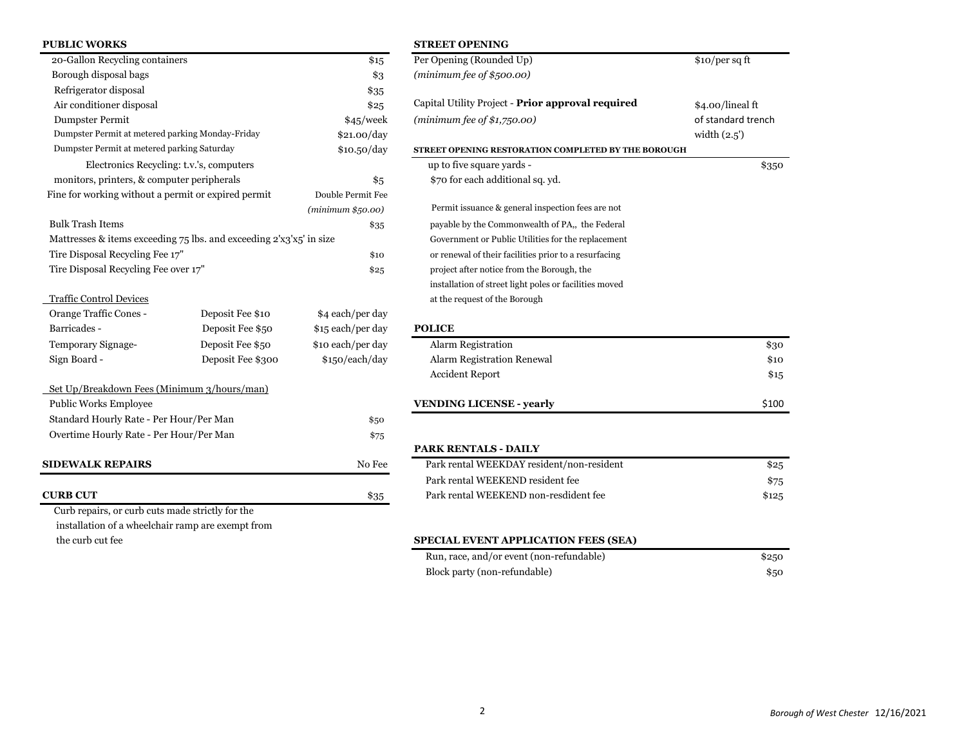| <b>PUBLIC WORKS</b>                                                 |                   |                   | <b>STREET OPENING</b>                                  |
|---------------------------------------------------------------------|-------------------|-------------------|--------------------------------------------------------|
| 20-Gallon Recycling containers                                      |                   | \$15              | Per Opening (Rounded Up)                               |
| Borough disposal bags                                               |                   | \$3               | (minimum fee of $$500.00$ )                            |
| Refrigerator disposal                                               |                   | \$35              |                                                        |
| Air conditioner disposal                                            |                   | \$25              | Capital Utility Project - Prior approval required      |
| Dumpster Permit                                                     |                   | \$45/week         | (minimum fee of $$1,750.00$ )                          |
| Dumpster Permit at metered parking Monday-Friday                    |                   | \$21.00/day       |                                                        |
| Dumpster Permit at metered parking Saturday                         |                   | \$10.50/day       | STREET OPENING RESTORATION COMPLETED BY THE BOROUGH    |
| Electronics Recycling: t.v.'s, computers                            |                   |                   | up to five square yards -                              |
| monitors, printers, & computer peripherals                          |                   | \$5               | \$70 for each additional sq. yd.                       |
| Fine for working without a permit or expired permit                 |                   | Double Permit Fee |                                                        |
|                                                                     |                   | (minimum \$50.00) | Permit issuance & general inspection fees are not      |
| <b>Bulk Trash Items</b>                                             |                   | \$35              | payable by the Commonwealth of PA,, the Federal        |
| Mattresses & items exceeding 75 lbs. and exceeding 2'x3'x5' in size |                   |                   | Government or Public Utilities for the replacement     |
| Tire Disposal Recycling Fee 17"                                     |                   | \$10              | or renewal of their facilities prior to a resurfacing  |
| Tire Disposal Recycling Fee over 17"                                |                   | \$25              | project after notice from the Borough, the             |
|                                                                     |                   |                   | installation of street light poles or facilities moved |
| <b>Traffic Control Devices</b>                                      |                   |                   | at the request of the Borough                          |
| Orange Traffic Cones -                                              | Deposit Fee \$10  | \$4 each/per day  |                                                        |
| Barricades -                                                        | Deposit Fee \$50  | \$15 each/per day | <b>POLICE</b>                                          |
| Temporary Signage-                                                  | Deposit Fee \$50  | \$10 each/per day | Alarm Registration                                     |
| Sign Board -                                                        | Deposit Fee \$300 | \$150/each/day    | Alarm Registration Renewal                             |
|                                                                     |                   |                   | <b>Accident Report</b>                                 |
| Set Up/Breakdown Fees (Minimum 3/hours/man)                         |                   |                   |                                                        |
| Public Works Employee                                               |                   |                   | <b>VENDING LICENSE - yearly</b>                        |
| Standard Hourly Rate - Per Hour/Per Man                             |                   | \$50              |                                                        |
| Overtime Hourly Rate - Per Hour/Per Man                             |                   | \$75              |                                                        |
|                                                                     |                   |                   | <b>PARK RENTALS - DAILY</b>                            |
| <b>SIDEWALK REPAIRS</b>                                             |                   | No Fee            | Park rental WEEKDAY resident/non-resident              |
|                                                                     |                   |                   | Park rental WEEKEND resident fee                       |
| <b>CURB CUT</b>                                                     |                   | $\$35$            | Park rental WEEKEND non-resdident fee                  |
| Curb repairs, or curb cuts made strictly for the                    |                   |                   |                                                        |
| installation of a wheelchair ramp are exempt from                   |                   |                   |                                                        |

| odlic word                                          |                                                                     |                   | 91 NEEL VI EN IN O                                         |                    |
|-----------------------------------------------------|---------------------------------------------------------------------|-------------------|------------------------------------------------------------|--------------------|
| 20-Gallon Recycling containers                      |                                                                     | \$15              | Per Opening (Rounded Up)                                   | \$10/per sq ft     |
| Borough disposal bags                               |                                                                     | \$3               | (minimum fee of $$500.00$ )                                |                    |
| Refrigerator disposal                               |                                                                     | \$35              |                                                            |                    |
| Air conditioner disposal                            |                                                                     | \$25              | Capital Utility Project - Prior approval required          | \$4.00/lineal ft   |
| <b>Dumpster Permit</b>                              |                                                                     | \$45/week         | (minimum fee of $$1,750.00$ )                              | of standard trench |
| Dumpster Permit at metered parking Monday-Friday    |                                                                     | \$21.00/day       |                                                            | width $(2.5)$      |
| Dumpster Permit at metered parking Saturday         |                                                                     | \$10.50/day       | <b>STREET OPENING RESTORATION COMPLETED BY THE BOROUGH</b> |                    |
|                                                     | Electronics Recycling: t.v.'s, computers                            |                   | up to five square yards -                                  | \$350              |
| monitors, printers, & computer peripherals          |                                                                     | \$5               | \$70 for each additional sq. yd.                           |                    |
| Fine for working without a permit or expired permit |                                                                     | Double Permit Fee |                                                            |                    |
|                                                     |                                                                     | (minimum \$50.00) | Permit issuance & general inspection fees are not          |                    |
| <b>Bulk Trash Items</b>                             |                                                                     | \$35              | payable by the Commonwealth of PA,, the Federal            |                    |
|                                                     | Mattresses & items exceeding 75 lbs. and exceeding 2'x3'x5' in size |                   | Government or Public Utilities for the replacement         |                    |
| Tire Disposal Recycling Fee 17"                     |                                                                     | \$10              | or renewal of their facilities prior to a resurfacing      |                    |
| Tire Disposal Recycling Fee over 17"                |                                                                     | \$25              | project after notice from the Borough, the                 |                    |
|                                                     |                                                                     |                   | installation of street light poles or facilities moved     |                    |
| <b>Traffic Control Devices</b>                      |                                                                     |                   | at the request of the Borough                              |                    |
| Orange Traffic Cones -                              | Deposit Fee \$10                                                    | \$4 each/per day  |                                                            |                    |
| Barricades -                                        | Deposit Fee \$50                                                    | \$15 each/per day | <b>POLICE</b>                                              |                    |
| Temporary Signage-                                  | Deposit Fee \$50                                                    | \$10 each/per day | Alarm Registration                                         | \$30               |
| Sign Board -                                        | Deposit Fee \$300                                                   | \$150/each/day    | <b>Alarm Registration Renewal</b>                          | \$10               |
|                                                     |                                                                     |                   | <b>Accident Report</b>                                     | \$15               |
| Set Up/Breakdown Fees (Minimum 3/hours/man)         |                                                                     |                   |                                                            |                    |
| Public Works Employee                               |                                                                     |                   | <b>VENDING LICENSE - yearly</b>                            | \$100              |
| Standard Hourly Rate - Per Hour/Per Man             |                                                                     | \$50              |                                                            |                    |
| Overtime Hourly Rate - Per Hour/Per Man             |                                                                     | \$75              |                                                            |                    |
|                                                     |                                                                     |                   | <b>PARK RENTALS - DAILY</b>                                |                    |
| <b>SIDEWALK REPAIRS</b>                             |                                                                     | No Fee            | Park rental WEEKDAY resident/non-resident                  | \$25               |
|                                                     |                                                                     |                   | Park rental WEEKEND resident fee                           | \$75               |
| <b>CURB CUT</b>                                     |                                                                     | $\$35$            | Park rental WEEKEND non-resdident fee                      | \$125              |
| Curb repairs, or curb cuts made strictly for the    |                                                                     |                   |                                                            |                    |
| installation of a wheelchair ramp are exempt from   |                                                                     |                   |                                                            |                    |
| the curb cut fee                                    |                                                                     |                   | SPECIAL EVENT APPLICATION FEES (SEA)                       |                    |
|                                                     |                                                                     |                   | $Run$ race, and/or event (non-refundable)                  | \$250              |

| Park rental WEEKDAY resident/non-resident | \$25  |
|-------------------------------------------|-------|
| Park rental WEEKEND resident fee          | \$75  |
| Park rental WEEKEND non-resdident fee     | \$125 |

| Run, race, and/or event (non-refundable) | \$250 |
|------------------------------------------|-------|
| Block party (non-refundable)             | \$50  |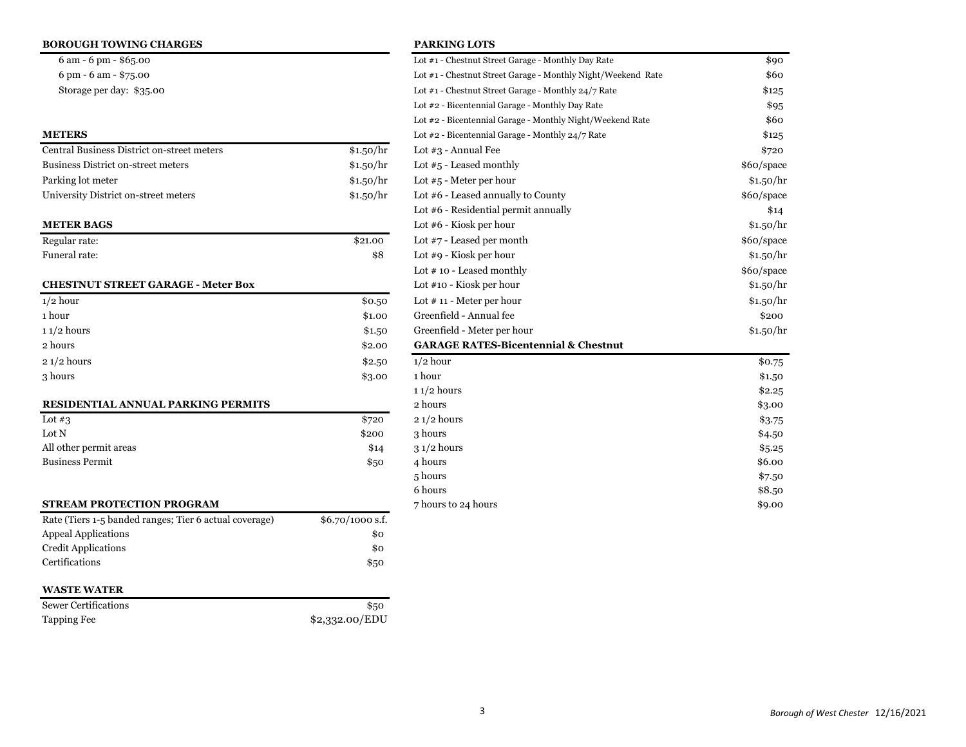### **BOROUGH TOWING CHARGES PARKING LOTS**

| \$1.50/h |
|----------|
| \$1.50/h |
| \$1.50/h |
| \$1.50/h |
|          |

| Regular rate: | \$21.00 |
|---------------|---------|
| Funeral rate: | \$8     |

### **CHESTNUT STREET GARAGE - Meter Box**

| $1/2$ hour   | \$0.50 | Lot $\#$ 11 - Meter per hour                    |
|--------------|--------|-------------------------------------------------|
| 1 hour       | \$1.00 | Greenfield - Annual fee                         |
| $11/2$ hours | \$1.50 | Greenfield - Meter per hour                     |
| 2 hours      | \$2.00 | <b>GARAGE RATES-Bicentennial &amp; Chestnut</b> |
| $21/2$ hours | \$2,50 | $1/2$ hour                                      |
| 3 hours      | \$3.00 | 1 hour                                          |

### **RESIDENTIAL ANNUAL PARKING PERMITS**

| Lot $#3$               | \$720 |
|------------------------|-------|
| Lot N                  | \$200 |
| All other permit areas | \$14  |
| <b>Business Permit</b> | \$50  |
|                        |       |

| <b>STREAM PROTECTION PROGRAM</b>                       |                   |  |
|--------------------------------------------------------|-------------------|--|
| Rate (Tiers 1-5 banded ranges; Tier 6 actual coverage) | $$6.70/1000$ s.f. |  |
| <b>Appeal Applications</b>                             | \$0               |  |
| <b>Credit Applications</b>                             | \$0               |  |
| Certifications                                         | \$50              |  |

### **WASTE WATER**

| <b>Sewer Certifications</b> | \$50           |
|-----------------------------|----------------|
| Tapping Fee                 | \$2,332.00/EDU |

| $6 \text{ am} - 6 \text{ pm} - $65.00$     |           | Lot #1 - Chestnut Street Garage - Monthly Day Rate           | \$90       |
|--------------------------------------------|-----------|--------------------------------------------------------------|------------|
| 6 pm - 6 am - \$75.00                      |           | Lot #1 - Chestnut Street Garage - Monthly Night/Weekend Rate | \$60       |
| Storage per day: \$35.00                   |           | Lot #1 - Chestnut Street Garage - Monthly 24/7 Rate          | \$125      |
|                                            |           | Lot #2 - Bicentennial Garage - Monthly Day Rate              | \$95       |
|                                            |           | Lot #2 - Bicentennial Garage - Monthly Night/Weekend Rate    | \$60       |
| <b>METERS</b>                              |           | Lot #2 - Bicentennial Garage - Monthly 24/7 Rate             | \$125      |
| Central Business District on-street meters | \$1.50/hr | Lot $#3$ - Annual Fee                                        | \$720      |
| <b>Business District on-street meters</b>  | \$1.50/hr | Lot $#5$ - Leased monthly                                    | \$60/space |
| Parking lot meter                          | \$1.50/hr | Lot $#5$ - Meter per hour                                    | \$1.50/hr  |
| University District on-street meters       | \$1.50/hr | Lot #6 - Leased annually to County                           | \$60/space |
|                                            |           | Lot #6 - Residential permit annually                         | \$14       |
| <b>METER BAGS</b>                          |           | Lot $#6$ - Kiosk per hour                                    | \$1.50/hr  |
| Regular rate:                              | \$21.00   | Lot $#7$ - Leased per month                                  | \$60/space |
| Funeral rate:                              | \$8       | Lot $#9$ - Kiosk per hour                                    | \$1.50/hr  |
|                                            |           | Lot #10 - Leased monthly                                     | \$60/space |
| <b>CHESTNUT STREET GARAGE - Meter Box</b>  |           | Lot #10 - Kiosk per hour                                     | \$1.50/hr  |
| $1/2$ hour                                 | \$0.50    | Lot $# 11$ - Meter per hour                                  | \$1.50/hr  |
| 1 hour                                     | \$1.00    | Greenfield - Annual fee                                      | \$200      |
| $11/2$ hours                               | \$1.50    | Greenfield - Meter per hour                                  | \$1.50/hr  |
| 2 hours                                    | \$2.00    | <b>GARAGE RATES-Bicentennial &amp; Chestnut</b>              |            |
| 2 1/2 hours                                | \$2.50    | $1/2$ hour                                                   | \$0.75     |
| 3 hours                                    | \$3.00    | 1 hour                                                       | \$1.50     |
|                                            |           | $11/2$ hours                                                 | \$2.25     |
| RESIDENTIAL ANNUAL PARKING PERMITS         |           | 2 hours                                                      | \$3.00     |
| Lot $#3$                                   | \$720     | $21/2$ hours                                                 | \$3.75     |
| Lot N                                      | \$200     | 3 hours                                                      | \$4.50     |
| All other permit areas                     | \$14      | $31/2$ hours                                                 | \$5.25     |
| <b>Business Permit</b>                     | \$50      | 4 hours                                                      | \$6.00     |
|                                            |           | 5 hours                                                      | \$7.50     |
|                                            |           | 6 hours                                                      | \$8.50     |
| STREAM PROTECTION PROGRAM                  |           | 7 hours to 24 hours                                          | \$9.00     |